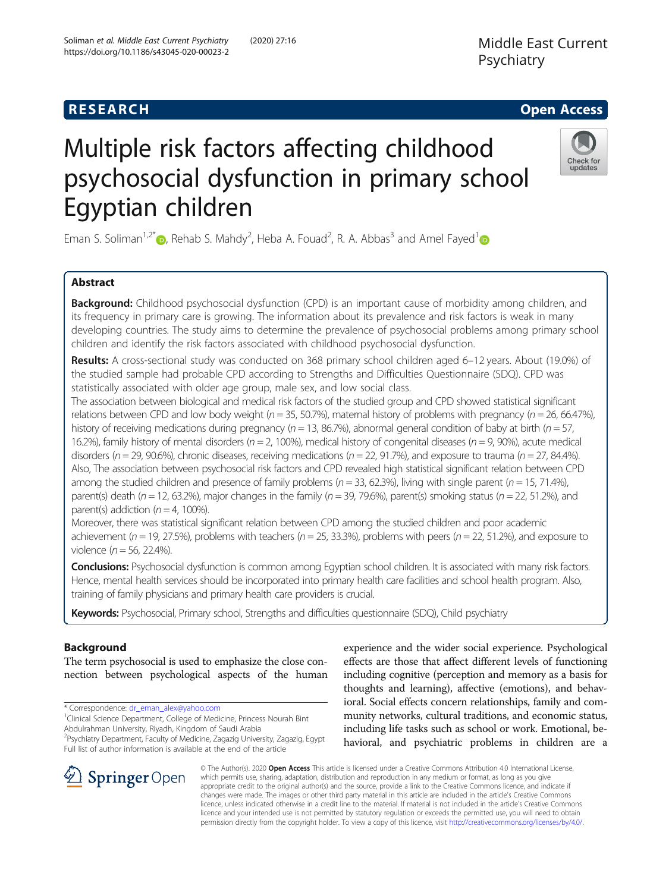# **RESEARCH CHE Open Access**



# Multiple risk factors affecting childhood psychosocial dysfunction in primary school Egyptian children

Eman S. Soliman<sup>1,2[\\*](https://orcid.org/0000-0001-8649-1485)</sup> , Rehab S. Mahdy<sup>2</sup>, Heba A. Fouad<sup>2</sup>, R. A. Abbas<sup>3</sup> and Amel Fayed<sup>[1](https://orcid.org/0000-0003-3395-0486)</sup>

# Abstract

**Background:** Childhood psychosocial dysfunction (CPD) is an important cause of morbidity among children, and its frequency in primary care is growing. The information about its prevalence and risk factors is weak in many developing countries. The study aims to determine the prevalence of psychosocial problems among primary school children and identify the risk factors associated with childhood psychosocial dysfunction.

Results: A cross-sectional study was conducted on 368 primary school children aged 6–12 years. About (19.0%) of the studied sample had probable CPD according to Strengths and Difficulties Questionnaire (SDQ). CPD was statistically associated with older age group, male sex, and low social class.

The association between biological and medical risk factors of the studied group and CPD showed statistical significant relations between CPD and low body weight ( $n = 35$ , 50.7%), maternal history of problems with pregnancy ( $n = 26$ , 66.47%), history of receiving medications during pregnancy ( $n = 13$ , 86.7%), abnormal general condition of baby at birth ( $n = 57$ , 16.2%), family history of mental disorders ( $n = 2$ , 100%), medical history of congenital diseases ( $n = 9$ , 90%), acute medical disorders ( $n = 29$ , 90.6%), chronic diseases, receiving medications ( $n = 22$ , 91.7%), and exposure to trauma ( $n = 27$ , 84.4%). Also, The association between psychosocial risk factors and CPD revealed high statistical significant relation between CPD among the studied children and presence of family problems ( $n = 33$ , 62.3%), living with single parent ( $n = 15$ , 71.4%), parent(s) death ( $n = 12$ , 63.2%), major changes in the family ( $n = 39$ , 79.6%), parent(s) smoking status ( $n = 22$ , 51.2%), and parent(s) addiction ( $n = 4$ , 100%).

Moreover, there was statistical significant relation between CPD among the studied children and poor academic achievement ( $n = 19$ , 27.5%), problems with teachers ( $n = 25$ , 33.3%), problems with peers ( $n = 22$ , 51.2%), and exposure to violence ( $n = 56$ , 22.4%).

Conclusions: Psychosocial dysfunction is common among Egyptian school children. It is associated with many risk factors. Hence, mental health services should be incorporated into primary health care facilities and school health program. Also, training of family physicians and primary health care providers is crucial.

Keywords: Psychosocial, Primary school, Strengths and difficulties questionnaire (SDQ), Child psychiatry

# Background

The term psychosocial is used to emphasize the close connection between psychological aspects of the human

\* Correspondence: [dr\\_eman\\_alex@yahoo.com](mailto:dr_eman_alex@yahoo.com) <sup>1</sup>

<sup>1</sup> Clinical Science Department, College of Medicine, Princess Nourah Bint Abdulrahman University, Riyadh, Kingdom of Saudi Arabia

<sup>2</sup>Psychiatry Department, Faculty of Medicine, Zagazig University, Zagazig, Egypt Full list of author information is available at the end of the article

experience and the wider social experience. Psychological effects are those that affect different levels of functioning including cognitive (perception and memory as a basis for thoughts and learning), affective (emotions), and behavioral. Social effects concern relationships, family and community networks, cultural traditions, and economic status, including life tasks such as school or work. Emotional, behavioral, and psychiatric problems in children are a



© The Author(s). 2020 Open Access This article is licensed under a Creative Commons Attribution 4.0 International License, which permits use, sharing, adaptation, distribution and reproduction in any medium or format, as long as you give appropriate credit to the original author(s) and the source, provide a link to the Creative Commons licence, and indicate if changes were made. The images or other third party material in this article are included in the article's Creative Commons licence, unless indicated otherwise in a credit line to the material. If material is not included in the article's Creative Commons licence and your intended use is not permitted by statutory regulation or exceeds the permitted use, you will need to obtain permission directly from the copyright holder. To view a copy of this licence, visit <http://creativecommons.org/licenses/by/4.0/>.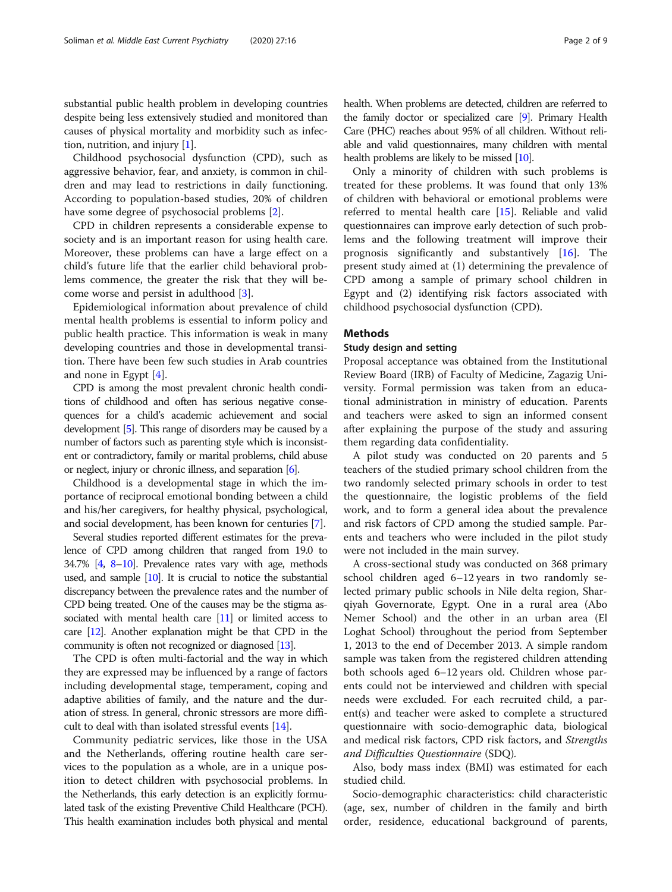substantial public health problem in developing countries despite being less extensively studied and monitored than causes of physical mortality and morbidity such as infection, nutrition, and injury [\[1\]](#page-7-0).

Childhood psychosocial dysfunction (CPD), such as aggressive behavior, fear, and anxiety, is common in children and may lead to restrictions in daily functioning. According to population-based studies, 20% of children have some degree of psychosocial problems [\[2](#page-7-0)].

CPD in children represents a considerable expense to society and is an important reason for using health care. Moreover, these problems can have a large effect on a child's future life that the earlier child behavioral problems commence, the greater the risk that they will become worse and persist in adulthood [\[3](#page-7-0)].

Epidemiological information about prevalence of child mental health problems is essential to inform policy and public health practice. This information is weak in many developing countries and those in developmental transition. There have been few such studies in Arab countries and none in Egypt [[4\]](#page-7-0).

CPD is among the most prevalent chronic health conditions of childhood and often has serious negative consequences for a child's academic achievement and social development [\[5\]](#page-7-0). This range of disorders may be caused by a number of factors such as parenting style which is inconsistent or contradictory, family or marital problems, child abuse or neglect, injury or chronic illness, and separation [\[6\]](#page-7-0).

Childhood is a developmental stage in which the importance of reciprocal emotional bonding between a child and his/her caregivers, for healthy physical, psychological, and social development, has been known for centuries [[7\]](#page-7-0).

Several studies reported different estimates for the prevalence of CPD among children that ranged from 19.0 to 34.7% [[4](#page-7-0), [8](#page-7-0)–[10\]](#page-7-0). Prevalence rates vary with age, methods used, and sample [\[10\]](#page-7-0). It is crucial to notice the substantial discrepancy between the prevalence rates and the number of CPD being treated. One of the causes may be the stigma as-sociated with mental health care [[11\]](#page-7-0) or limited access to care [\[12](#page-7-0)]. Another explanation might be that CPD in the community is often not recognized or diagnosed [\[13](#page-7-0)].

The CPD is often multi-factorial and the way in which they are expressed may be influenced by a range of factors including developmental stage, temperament, coping and adaptive abilities of family, and the nature and the duration of stress. In general, chronic stressors are more difficult to deal with than isolated stressful events [[14\]](#page-7-0).

Community pediatric services, like those in the USA and the Netherlands, offering routine health care services to the population as a whole, are in a unique position to detect children with psychosocial problems. In the Netherlands, this early detection is an explicitly formulated task of the existing Preventive Child Healthcare (PCH). This health examination includes both physical and mental health. When problems are detected, children are referred to the family doctor or specialized care [[9](#page-7-0)]. Primary Health Care (PHC) reaches about 95% of all children. Without reliable and valid questionnaires, many children with mental health problems are likely to be missed [\[10\]](#page-7-0).

Only a minority of children with such problems is treated for these problems. It was found that only 13% of children with behavioral or emotional problems were referred to mental health care [[15\]](#page-7-0). Reliable and valid questionnaires can improve early detection of such problems and the following treatment will improve their prognosis significantly and substantively [\[16](#page-7-0)]. The present study aimed at (1) determining the prevalence of CPD among a sample of primary school children in Egypt and (2) identifying risk factors associated with childhood psychosocial dysfunction (CPD).

## **Methods**

## Study design and setting

Proposal acceptance was obtained from the Institutional Review Board (IRB) of Faculty of Medicine, Zagazig University. Formal permission was taken from an educational administration in ministry of education. Parents and teachers were asked to sign an informed consent after explaining the purpose of the study and assuring them regarding data confidentiality.

A pilot study was conducted on 20 parents and 5 teachers of the studied primary school children from the two randomly selected primary schools in order to test the questionnaire, the logistic problems of the field work, and to form a general idea about the prevalence and risk factors of CPD among the studied sample. Parents and teachers who were included in the pilot study were not included in the main survey.

A cross-sectional study was conducted on 368 primary school children aged 6–12 years in two randomly selected primary public schools in Nile delta region, Sharqiyah Governorate, Egypt. One in a rural area (Abo Nemer School) and the other in an urban area (El Loghat School) throughout the period from September 1, 2013 to the end of December 2013. A simple random sample was taken from the registered children attending both schools aged 6–12 years old. Children whose parents could not be interviewed and children with special needs were excluded. For each recruited child, a parent(s) and teacher were asked to complete a structured questionnaire with socio-demographic data, biological and medical risk factors, CPD risk factors, and Strengths and Difficulties Questionnaire (SDQ).

Also, body mass index (BMI) was estimated for each studied child.

Socio-demographic characteristics: child characteristic (age, sex, number of children in the family and birth order, residence, educational background of parents,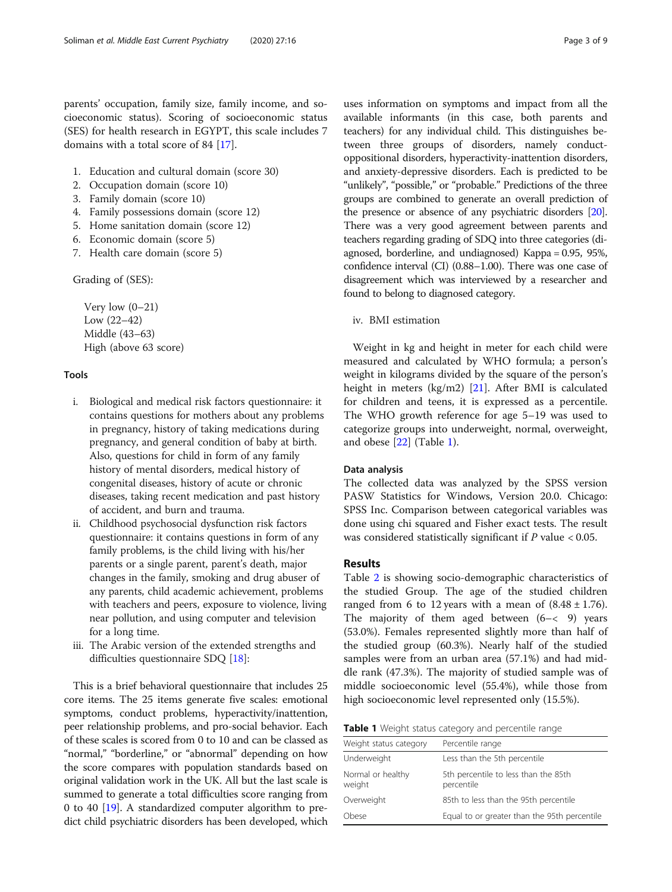parents' occupation, family size, family income, and socioeconomic status). Scoring of socioeconomic status (SES) for health research in EGYPT, this scale includes 7 domains with a total score of 84 [[17\]](#page-7-0).

- 1. Education and cultural domain (score 30)
- 2. Occupation domain (score 10)
- 3. Family domain (score 10)
- 4. Family possessions domain (score 12)
- 5. Home sanitation domain (score 12)
- 6. Economic domain (score 5)
- 7. Health care domain (score 5)

Grading of (SES):

Very low (0–21) Low (22–42) Middle (43–63) High (above 63 score)

## Tools

- i. Biological and medical risk factors questionnaire: it contains questions for mothers about any problems in pregnancy, history of taking medications during pregnancy, and general condition of baby at birth. Also, questions for child in form of any family history of mental disorders, medical history of congenital diseases, history of acute or chronic diseases, taking recent medication and past history of accident, and burn and trauma.
- ii. Childhood psychosocial dysfunction risk factors questionnaire: it contains questions in form of any family problems, is the child living with his/her parents or a single parent, parent's death, major changes in the family, smoking and drug abuser of any parents, child academic achievement, problems with teachers and peers, exposure to violence, living near pollution, and using computer and television for a long time.
- iii. The Arabic version of the extended strengths and difficulties questionnaire SDQ [\[18\]](#page-7-0):

This is a brief behavioral questionnaire that includes 25 core items. The 25 items generate five scales: emotional symptoms, conduct problems, hyperactivity/inattention, peer relationship problems, and pro-social behavior. Each of these scales is scored from 0 to 10 and can be classed as "normal," "borderline," or "abnormal" depending on how the score compares with population standards based on original validation work in the UK. All but the last scale is summed to generate a total difficulties score ranging from 0 to 40 [[19](#page-7-0)]. A standardized computer algorithm to predict child psychiatric disorders has been developed, which

uses information on symptoms and impact from all the available informants (in this case, both parents and teachers) for any individual child. This distinguishes between three groups of disorders, namely conductoppositional disorders, hyperactivity-inattention disorders, and anxiety-depressive disorders. Each is predicted to be "unlikely", "possible," or "probable." Predictions of the three groups are combined to generate an overall prediction of the presence or absence of any psychiatric disorders [\[20](#page-7-0)]. There was a very good agreement between parents and teachers regarding grading of SDQ into three categories (diagnosed, borderline, and undiagnosed) Kappa = 0.95, 95%, confidence interval (CI) (0.88–1.00). There was one case of disagreement which was interviewed by a researcher and found to belong to diagnosed category.

# iv. BMI estimation

Weight in kg and height in meter for each child were measured and calculated by WHO formula; a person's weight in kilograms divided by the square of the person's height in meters (kg/m2) [\[21](#page-7-0)]. After BMI is calculated for children and teens, it is expressed as a percentile. The WHO growth reference for age 5–19 was used to categorize groups into underweight, normal, overweight, and obese [[22](#page-7-0)] (Table 1).

## Data analysis

The collected data was analyzed by the SPSS version PASW Statistics for Windows, Version 20.0. Chicago: SPSS Inc. Comparison between categorical variables was done using chi squared and Fisher exact tests. The result was considered statistically significant if  $P$  value < 0.05.

# Results

Table [2](#page-3-0) is showing socio-demographic characteristics of the studied Group. The age of the studied children ranged from 6 to 12 years with a mean of  $(8.48 \pm 1.76)$ . The majority of them aged between  $(6 - < 9)$  years (53.0%). Females represented slightly more than half of the studied group (60.3%). Nearly half of the studied samples were from an urban area (57.1%) and had middle rank (47.3%). The majority of studied sample was of middle socioeconomic level (55.4%), while those from high socioeconomic level represented only (15.5%).

|  | Table 1 Weight status category and percentile range |
|--|-----------------------------------------------------|
|--|-----------------------------------------------------|

| Weight status category      | Percentile range                                   |
|-----------------------------|----------------------------------------------------|
| Underweight                 | Less than the 5th percentile                       |
| Normal or healthy<br>weight | 5th percentile to less than the 85th<br>percentile |
| Overweight                  | 85th to less than the 95th percentile              |
| Obese                       | Equal to or greater than the 95th percentile       |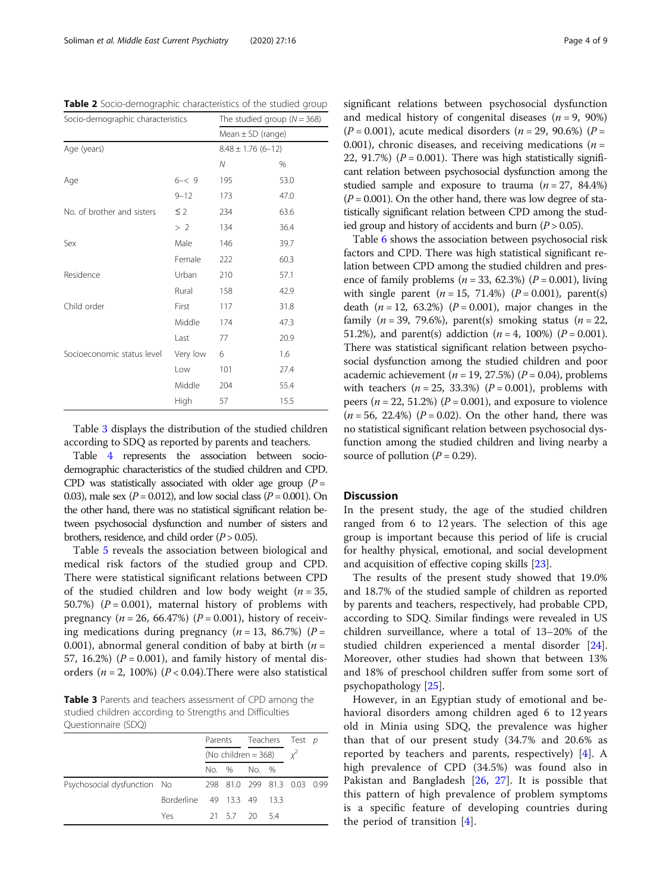<span id="page-3-0"></span>Table 2 Socio-demographic characteristics of the studied group

| Socio-demographic characteristics |          | The studied group ( $N = 368$ )<br>Mean $\pm$ SD (range) |      |  |  |
|-----------------------------------|----------|----------------------------------------------------------|------|--|--|
|                                   |          |                                                          |      |  |  |
| Age (years)                       |          | $8.48 \pm 1.76(6 - 12)$                                  |      |  |  |
|                                   |          | Ν                                                        | %    |  |  |
| Age                               | $6 - 9$  | 195                                                      | 53.0 |  |  |
|                                   | $9 - 12$ | 173                                                      | 47.0 |  |  |
| No. of brother and sisters        | $\leq$ 2 | 234                                                      | 63.6 |  |  |
|                                   | >2       | 134                                                      | 36.4 |  |  |
| Sex                               | Male     | 146                                                      | 39.7 |  |  |
|                                   | Female   | 222                                                      | 60.3 |  |  |
| Residence                         | Urban    | 210                                                      | 57.1 |  |  |
|                                   | Rural    | 158                                                      | 42.9 |  |  |
| Child order                       | First    | 117                                                      | 31.8 |  |  |
|                                   | Middle   | 174                                                      | 47.3 |  |  |
|                                   | Last     | 77                                                       | 20.9 |  |  |
| Socioeconomic status level        | Very low | 6                                                        | 1.6  |  |  |
|                                   | Low      | 101                                                      | 27.4 |  |  |
|                                   | Middle   | 204                                                      | 55.4 |  |  |
|                                   | High     | 57                                                       | 15.5 |  |  |

Table 3 displays the distribution of the studied children according to SDQ as reported by parents and teachers.

Table [4](#page-4-0) represents the association between sociodemographic characteristics of the studied children and CPD. CPD was statistically associated with older age group  $(P =$ 0.03), male sex ( $P = 0.012$ ), and low social class ( $P = 0.001$ ). On the other hand, there was no statistical significant relation between psychosocial dysfunction and number of sisters and brothers, residence, and child order  $(P > 0.05)$ .

Table [5](#page-5-0) reveals the association between biological and medical risk factors of the studied group and CPD. There were statistical significant relations between CPD of the studied children and low body weight ( $n = 35$ , 50.7%) ( $P = 0.001$ ), maternal history of problems with pregnancy ( $n = 26, 66.47\%$ ) ( $P = 0.001$ ), history of receiving medications during pregnancy ( $n = 13$ , 86.7%) ( $P =$ 0.001), abnormal general condition of baby at birth  $(n =$ 57, 16.2%) ( $P = 0.001$ ), and family history of mental disorders ( $n = 2$ , 100%) ( $P < 0.04$ ). There were also statistical

Table 3 Parents and teachers assessment of CPD among the studied children according to Strengths and Difficulties Questionnaire (SDQ)

|                             |                            | Parents Teachers Test p<br>(No children = 368) $\chi^2$ |               |  |  |                             |  |
|-----------------------------|----------------------------|---------------------------------------------------------|---------------|--|--|-----------------------------|--|
|                             |                            |                                                         |               |  |  |                             |  |
|                             |                            |                                                         | No. % No. %   |  |  |                             |  |
| Psychosocial dysfunction No |                            |                                                         |               |  |  | 298 81.0 299 81.3 0.03 0.99 |  |
|                             | Borderline 49 13.3 49 13.3 |                                                         |               |  |  |                             |  |
|                             | Yes                        |                                                         | 21 5.7 20 5.4 |  |  |                             |  |
|                             |                            |                                                         |               |  |  |                             |  |

significant relations between psychosocial dysfunction and medical history of congenital diseases  $(n = 9, 90\%)$  $(P = 0.001)$ , acute medical disorders  $(n = 29, 90.6\%)$  (P = 0.001), chronic diseases, and receiving medications ( $n =$ 22, 91.7%) ( $P = 0.001$ ). There was high statistically significant relation between psychosocial dysfunction among the studied sample and exposure to trauma  $(n = 27, 84.4\%)$  $(P = 0.001)$ . On the other hand, there was low degree of statistically significant relation between CPD among the studied group and history of accidents and burn  $(P > 0.05)$ .

Table [6](#page-6-0) shows the association between psychosocial risk factors and CPD. There was high statistical significant relation between CPD among the studied children and presence of family problems ( $n = 33, 62.3\%$ ) ( $P = 0.001$ ), living with single parent  $(n = 15, 71.4%)$   $(P = 0.001)$ , parent(s) death ( $n = 12, 63.2%$ ) ( $P = 0.001$ ), major changes in the family ( $n = 39, 79.6\%$ ), parent(s) smoking status ( $n = 22$ , 51.2%), and parent(s) addiction  $(n = 4, 100\%)$   $(P = 0.001)$ . There was statistical significant relation between psychosocial dysfunction among the studied children and poor academic achievement ( $n = 19, 27.5\%$ ) ( $P = 0.04$ ), problems with teachers  $(n = 25, 33.3%)$   $(P = 0.001)$ , problems with peers ( $n = 22, 51.2\%$ ) ( $P = 0.001$ ), and exposure to violence  $(n = 56, 22.4\%)$  ( $P = 0.02$ ). On the other hand, there was no statistical significant relation between psychosocial dysfunction among the studied children and living nearby a source of pollution ( $P = 0.29$ ).

#### **Discussion**

In the present study, the age of the studied children ranged from 6 to 12 years. The selection of this age group is important because this period of life is crucial for healthy physical, emotional, and social development and acquisition of effective coping skills [\[23\]](#page-7-0).

The results of the present study showed that 19.0% and 18.7% of the studied sample of children as reported by parents and teachers, respectively, had probable CPD, according to SDQ. Similar findings were revealed in US children surveillance, where a total of 13–20% of the studied children experienced a mental disorder [\[24](#page-7-0)]. Moreover, other studies had shown that between 13% and 18% of preschool children suffer from some sort of psychopathology [\[25\]](#page-7-0).

However, in an Egyptian study of emotional and behavioral disorders among children aged 6 to 12 years old in Minia using SDQ, the prevalence was higher than that of our present study (34.7% and 20.6% as reported by teachers and parents, respectively) [\[4](#page-7-0)]. A high prevalence of CPD (34.5%) was found also in Pakistan and Bangladesh [\[26](#page-7-0), [27\]](#page-8-0). It is possible that this pattern of high prevalence of problem symptoms is a specific feature of developing countries during the period of transition [[4\]](#page-7-0).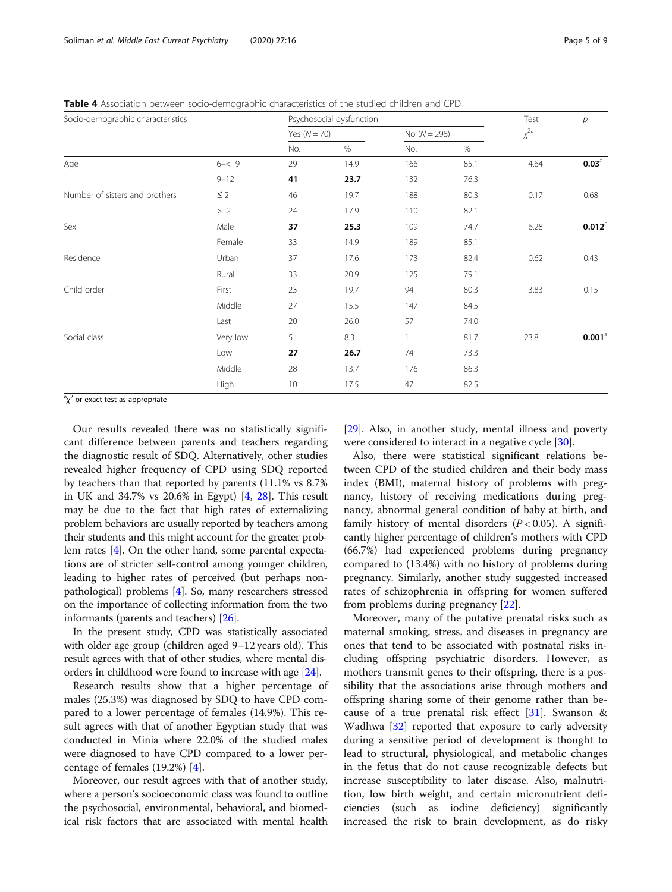<span id="page-4-0"></span>Table 4 Association between socio-demographic characteristics of the studied children and CPD

| Socio-demographic characteristics |          | Psychosocial dysfunction |      |                |      | Test        | р                    |
|-----------------------------------|----------|--------------------------|------|----------------|------|-------------|----------------------|
|                                   |          | Yes $(N = 70)$           |      | No $(N = 298)$ |      | $\chi^{2a}$ |                      |
|                                   |          | No.                      | %    | No.            | $\%$ |             |                      |
| Age                               | $6 - 9$  | 29                       | 14.9 | 166            | 85.1 | 4.64        | $0.03^{\circ}$       |
|                                   | $9 - 12$ | 41                       | 23.7 | 132            | 76.3 |             |                      |
| Number of sisters and brothers    | $\leq$ 2 | 46                       | 19.7 | 188            | 80.3 | 0.17        | 0.68                 |
|                                   | >2       | 24                       | 17.9 | 110            | 82.1 |             |                      |
| Sex                               | Male     | 37                       | 25.3 | 109            | 74.7 | 6.28        | $0.012$ <sup>a</sup> |
|                                   | Female   | 33                       | 14.9 | 189            | 85.1 |             |                      |
| Residence                         | Urban    | 37                       | 17.6 | 173            | 82.4 | 0.62        | 0.43                 |
|                                   | Rural    | 33                       | 20.9 | 125            | 79.1 |             |                      |
| Child order                       | First    | 23                       | 19.7 | 94             | 80.3 | 3.83        | 0.15                 |
|                                   | Middle   | 27                       | 15.5 | 147            | 84.5 |             |                      |
|                                   | Last     | 20                       | 26.0 | 57             | 74.0 |             |                      |
| Social class                      | Very low | 5                        | 8.3  | 1              | 81.7 | 23.8        | $0.001$ <sup>a</sup> |
|                                   | Low      | 27                       | 26.7 | 74             | 73.3 |             |                      |
|                                   | Middle   | 28                       | 13.7 | 176            | 86.3 |             |                      |
|                                   | High     | 10                       | 17.5 | 47             | 82.5 |             |                      |

 ${}^{\text{a}}\chi^2$  or exact test as appropriate

Our results revealed there was no statistically significant difference between parents and teachers regarding the diagnostic result of SDQ. Alternatively, other studies revealed higher frequency of CPD using SDQ reported by teachers than that reported by parents (11.1% vs 8.7% in UK and 34.7% vs 20.6% in Egypt) [[4,](#page-7-0) [28\]](#page-8-0). This result may be due to the fact that high rates of externalizing problem behaviors are usually reported by teachers among their students and this might account for the greater problem rates [\[4](#page-7-0)]. On the other hand, some parental expectations are of stricter self-control among younger children, leading to higher rates of perceived (but perhaps nonpathological) problems [[4\]](#page-7-0). So, many researchers stressed on the importance of collecting information from the two informants (parents and teachers) [\[26\]](#page-7-0).

In the present study, CPD was statistically associated with older age group (children aged 9–12 years old). This result agrees with that of other studies, where mental disorders in childhood were found to increase with age [\[24\]](#page-7-0).

Research results show that a higher percentage of males (25.3%) was diagnosed by SDQ to have CPD compared to a lower percentage of females (14.9%). This result agrees with that of another Egyptian study that was conducted in Minia where 22.0% of the studied males were diagnosed to have CPD compared to a lower percentage of females (19.2%) [\[4](#page-7-0)].

Moreover, our result agrees with that of another study, where a person's socioeconomic class was found to outline the psychosocial, environmental, behavioral, and biomedical risk factors that are associated with mental health

[[29](#page-8-0)]. Also, in another study, mental illness and poverty were considered to interact in a negative cycle [\[30](#page-8-0)].

Also, there were statistical significant relations between CPD of the studied children and their body mass index (BMI), maternal history of problems with pregnancy, history of receiving medications during pregnancy, abnormal general condition of baby at birth, and family history of mental disorders  $(P < 0.05)$ . A significantly higher percentage of children's mothers with CPD (66.7%) had experienced problems during pregnancy compared to (13.4%) with no history of problems during pregnancy. Similarly, another study suggested increased rates of schizophrenia in offspring for women suffered from problems during pregnancy [\[22](#page-7-0)].

Moreover, many of the putative prenatal risks such as maternal smoking, stress, and diseases in pregnancy are ones that tend to be associated with postnatal risks including offspring psychiatric disorders. However, as mothers transmit genes to their offspring, there is a possibility that the associations arise through mothers and offspring sharing some of their genome rather than because of a true prenatal risk effect [[31\]](#page-8-0). Swanson & Wadhwa [\[32](#page-8-0)] reported that exposure to early adversity during a sensitive period of development is thought to lead to structural, physiological, and metabolic changes in the fetus that do not cause recognizable defects but increase susceptibility to later disease. Also, malnutrition, low birth weight, and certain micronutrient deficiencies (such as iodine deficiency) significantly increased the risk to brain development, as do risky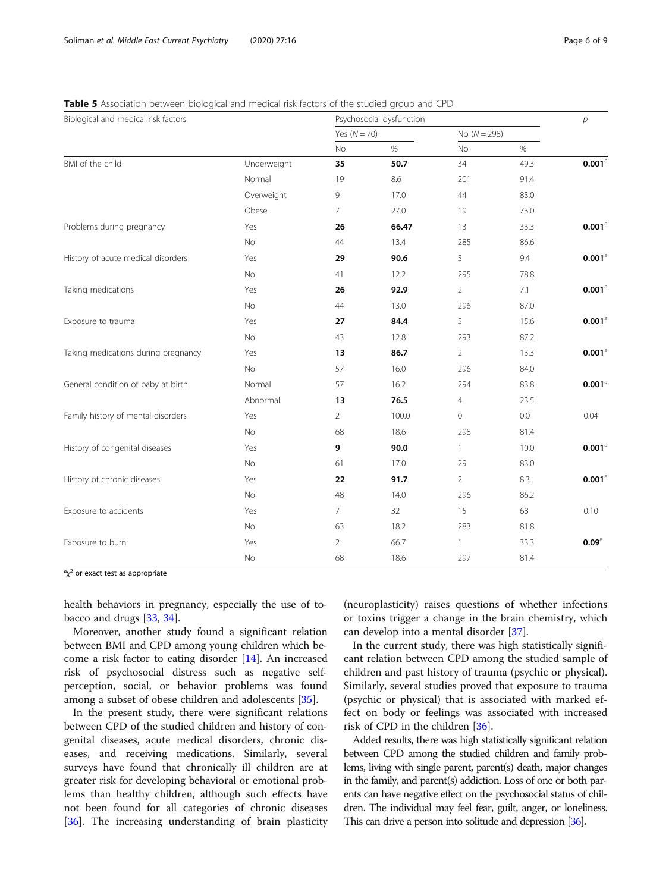| Biological and medical risk factors |             | Psychosocial dysfunction |       |                |      | $\overline{p}$       |
|-------------------------------------|-------------|--------------------------|-------|----------------|------|----------------------|
|                                     |             | Yes $(N = 70)$           |       | No $(N = 298)$ |      |                      |
|                                     |             | No                       | $\%$  | No             | $\%$ |                      |
| BMI of the child                    | Underweight | 35                       | 50.7  | 34             | 49.3 | $0.001$ <sup>a</sup> |
|                                     | Normal      | 19                       | 8.6   | 201            | 91.4 |                      |
|                                     | Overweight  | 9                        | 17.0  | 44             | 83.0 |                      |
|                                     | Obese       | $\overline{7}$           | 27.0  | 19             | 73.0 |                      |
| Problems during pregnancy           | Yes         | 26                       | 66.47 | 13             | 33.3 | $0.001$ <sup>a</sup> |
|                                     | No          | 44                       | 13.4  | 285            | 86.6 |                      |
| History of acute medical disorders  | Yes         | 29                       | 90.6  | 3              | 9.4  | $0.001$ <sup>a</sup> |
|                                     | No          | 41                       | 12.2  | 295            | 78.8 |                      |
| Taking medications                  | Yes         | 26                       | 92.9  | $\overline{2}$ | 7.1  | $0.001$ <sup>a</sup> |
|                                     | <b>No</b>   | 44                       | 13.0  | 296            | 87.0 |                      |
| Exposure to trauma                  | Yes         | 27                       | 84.4  | 5              | 15.6 | $0.001$ <sup>a</sup> |
|                                     | No          | 43                       | 12.8  | 293            | 87.2 |                      |
| Taking medications during pregnancy | Yes         | 13                       | 86.7  | $\overline{2}$ | 13.3 | $0.001$ <sup>a</sup> |
|                                     | $\rm No$    | 57                       | 16.0  | 296            | 84.0 |                      |
| General condition of baby at birth  | Normal      | 57                       | 16.2  | 294            | 83.8 | $0.001$ <sup>a</sup> |
|                                     | Abnormal    | 13                       | 76.5  | 4              | 23.5 |                      |
| Family history of mental disorders  | Yes         | $\overline{2}$           | 100.0 | $\mathbf{0}$   | 0.0  | 0.04                 |
|                                     | No          | 68                       | 18.6  | 298            | 81.4 |                      |
| History of congenital diseases      | Yes         | 9                        | 90.0  | $\mathbf{1}$   | 10.0 | $0.001$ <sup>a</sup> |
|                                     | No          | 61                       | 17.0  | 29             | 83.0 |                      |
| History of chronic diseases         | Yes         | 22                       | 91.7  | $\overline{2}$ | 8.3  | $0.001$ <sup>a</sup> |
|                                     | No          | 48                       | 14.0  | 296            | 86.2 |                      |
| Exposure to accidents               | Yes         | $\overline{7}$           | 32    | 15             | 68   | 0.10                 |
|                                     | No          | 63                       | 18.2  | 283            | 81.8 |                      |
| Exposure to burn                    | Yes         | $\overline{2}$           | 66.7  | $\mathbf{1}$   | 33.3 | $0.09$ <sup>a</sup>  |
|                                     | No          | 68                       | 18.6  | 297            | 81.4 |                      |

<span id="page-5-0"></span>Table 5 Association between biological and medical risk factors of the studied group and CPD

 ${}^{\text{a}}\chi^2$  or exact test as appropriate

health behaviors in pregnancy, especially the use of tobacco and drugs [[33,](#page-8-0) [34\]](#page-8-0).

Moreover, another study found a significant relation between BMI and CPD among young children which become a risk factor to eating disorder [\[14](#page-7-0)]. An increased risk of psychosocial distress such as negative selfperception, social, or behavior problems was found among a subset of obese children and adolescents [\[35\]](#page-8-0).

In the present study, there were significant relations between CPD of the studied children and history of congenital diseases, acute medical disorders, chronic diseases, and receiving medications. Similarly, several surveys have found that chronically ill children are at greater risk for developing behavioral or emotional problems than healthy children, although such effects have not been found for all categories of chronic diseases [[36\]](#page-8-0). The increasing understanding of brain plasticity (neuroplasticity) raises questions of whether infections or toxins trigger a change in the brain chemistry, which can develop into a mental disorder [[37](#page-8-0)].

In the current study, there was high statistically significant relation between CPD among the studied sample of children and past history of trauma (psychic or physical). Similarly, several studies proved that exposure to trauma (psychic or physical) that is associated with marked effect on body or feelings was associated with increased risk of CPD in the children [\[36\]](#page-8-0).

Added results, there was high statistically significant relation between CPD among the studied children and family problems, living with single parent, parent(s) death, major changes in the family, and parent(s) addiction. Loss of one or both parents can have negative effect on the psychosocial status of children. The individual may feel fear, guilt, anger, or loneliness. This can drive a person into solitude and depression [\[36\]](#page-8-0).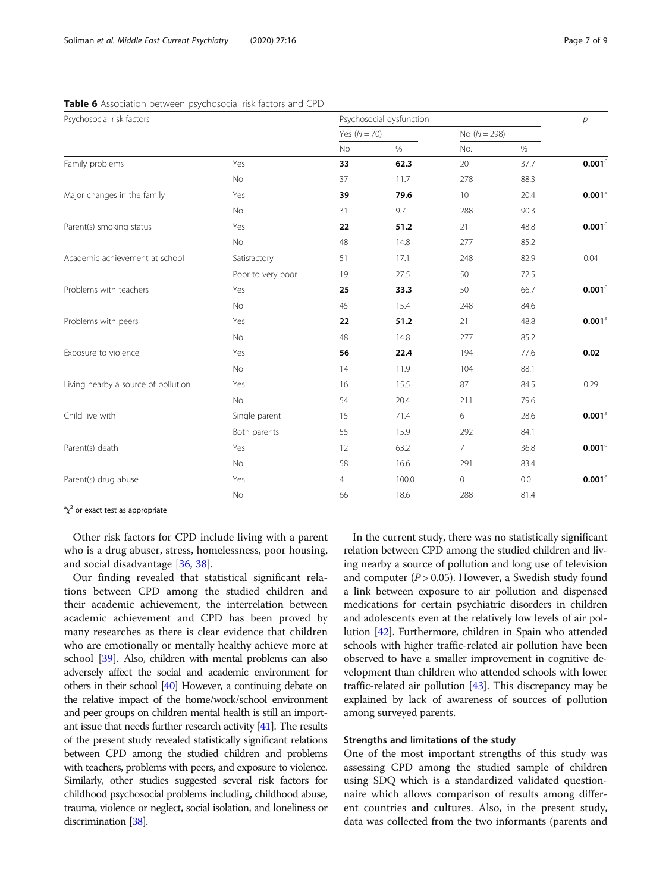| Psychosocial risk factors           |                   | Psychosocial dysfunction |       |                |      | р                    |
|-------------------------------------|-------------------|--------------------------|-------|----------------|------|----------------------|
|                                     |                   | Yes $(N = 70)$           |       | No $(N = 298)$ |      |                      |
|                                     |                   | No                       | $\%$  | No.            | $\%$ |                      |
| Family problems                     | Yes               | 33                       | 62.3  | 20             | 37.7 | $0.001$ <sup>a</sup> |
|                                     | No                | 37                       | 11.7  | 278            | 88.3 |                      |
| Major changes in the family         | Yes               | 39                       | 79.6  | 10             | 20.4 | $0.001$ <sup>a</sup> |
|                                     | No                | 31                       | 9.7   | 288            | 90.3 |                      |
| Parent(s) smoking status            | Yes               | 22                       | 51.2  | 21             | 48.8 | $0.001$ <sup>a</sup> |
|                                     | No                | 48                       | 14.8  | 277            | 85.2 |                      |
| Academic achievement at school      | Satisfactory      | 51                       | 17.1  | 248            | 82.9 | 0.04                 |
|                                     | Poor to very poor | 19                       | 27.5  | 50             | 72.5 |                      |
| Problems with teachers              | Yes               | 25                       | 33.3  | 50             | 66.7 | $0.001$ <sup>a</sup> |
|                                     | No                | 45                       | 15.4  | 248            | 84.6 |                      |
| Problems with peers                 | Yes               | 22                       | 51.2  | 21             | 48.8 | $0.001$ <sup>a</sup> |
|                                     | No                | 48                       | 14.8  | 277            | 85.2 |                      |
| Exposure to violence                | Yes               | 56                       | 22.4  | 194            | 77.6 | 0.02                 |
|                                     | No                | 14                       | 11.9  | 104            | 88.1 |                      |
| Living nearby a source of pollution | Yes               | 16                       | 15.5  | 87             | 84.5 | 0.29                 |
|                                     | No                | 54                       | 20.4  | 211            | 79.6 |                      |
| Child live with                     | Single parent     | 15                       | 71.4  | 6              | 28.6 | $0.001$ <sup>a</sup> |
|                                     | Both parents      | 55                       | 15.9  | 292            | 84.1 |                      |
| Parent(s) death                     | Yes               | 12                       | 63.2  | $\overline{7}$ | 36.8 | $0.001$ <sup>a</sup> |
|                                     | No                | 58                       | 16.6  | 291            | 83.4 |                      |
| Parent(s) drug abuse                | Yes               | $\overline{4}$           | 100.0 | $\mathbf{0}$   | 0.0  | $0.001$ <sup>a</sup> |
|                                     | No                | 66                       | 18.6  | 288            | 81.4 |                      |

<span id="page-6-0"></span>Table 6 Association between psychosocial risk factors and CPD

 $a^2\chi^2$  or exact test as appropriate

Other risk factors for CPD include living with a parent who is a drug abuser, stress, homelessness, poor housing, and social disadvantage [[36](#page-8-0), [38](#page-8-0)].

Our finding revealed that statistical significant relations between CPD among the studied children and their academic achievement, the interrelation between academic achievement and CPD has been proved by many researches as there is clear evidence that children who are emotionally or mentally healthy achieve more at school [\[39](#page-8-0)]. Also, children with mental problems can also adversely affect the social and academic environment for others in their school [[40\]](#page-8-0) However, a continuing debate on the relative impact of the home/work/school environment and peer groups on children mental health is still an important issue that needs further research activity [\[41](#page-8-0)]. The results of the present study revealed statistically significant relations between CPD among the studied children and problems with teachers, problems with peers, and exposure to violence. Similarly, other studies suggested several risk factors for childhood psychosocial problems including, childhood abuse, trauma, violence or neglect, social isolation, and loneliness or discrimination [\[38](#page-8-0)].

In the current study, there was no statistically significant relation between CPD among the studied children and living nearby a source of pollution and long use of television and computer  $(P > 0.05)$ . However, a Swedish study found a link between exposure to air pollution and dispensed medications for certain psychiatric disorders in children and adolescents even at the relatively low levels of air pollution [\[42\]](#page-8-0). Furthermore, children in Spain who attended schools with higher traffic-related air pollution have been observed to have a smaller improvement in cognitive development than children who attended schools with lower traffic-related air pollution  $[43]$  $[43]$ . This discrepancy may be explained by lack of awareness of sources of pollution among surveyed parents.

## Strengths and limitations of the study

One of the most important strengths of this study was assessing CPD among the studied sample of children using SDQ which is a standardized validated questionnaire which allows comparison of results among different countries and cultures. Also, in the present study, data was collected from the two informants (parents and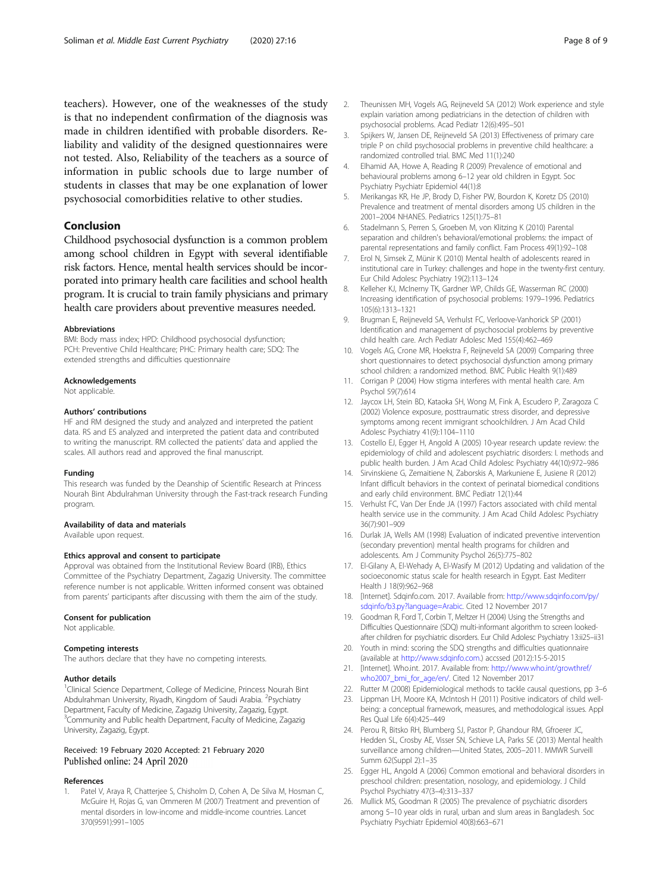<span id="page-7-0"></span>teachers). However, one of the weaknesses of the study is that no independent confirmation of the diagnosis was made in children identified with probable disorders. Reliability and validity of the designed questionnaires were not tested. Also, Reliability of the teachers as a source of information in public schools due to large number of students in classes that may be one explanation of lower psychosocial comorbidities relative to other studies.

# Conclusion

Childhood psychosocial dysfunction is a common problem among school children in Egypt with several identifiable risk factors. Hence, mental health services should be incorporated into primary health care facilities and school health program. It is crucial to train family physicians and primary health care providers about preventive measures needed.

#### Abbreviations

BMI: Body mass index; HPD: Childhood psychosocial dysfunction; PCH: Preventive Child Healthcare; PHC: Primary health care; SDQ: The extended strengths and difficulties questionnaire

#### Acknowledgements

Not applicable.

#### Authors' contributions

HF and RM designed the study and analyzed and interpreted the patient data. RS and ES analyzed and interpreted the patient data and contributed to writing the manuscript. RM collected the patients' data and applied the scales. All authors read and approved the final manuscript.

#### Funding

This research was funded by the Deanship of Scientific Research at Princess Nourah Bint Abdulrahman University through the Fast-track research Funding program.

#### Availability of data and materials

Available upon request.

#### Ethics approval and consent to participate

Approval was obtained from the Institutional Review Board (IRB), Ethics Committee of the Psychiatry Department, Zagazig University. The committee reference number is not applicable. Written informed consent was obtained from parents' participants after discussing with them the aim of the study.

#### Consent for publication

Not applicable.

#### Competing interests

The authors declare that they have no competing interests.

#### Author details

<sup>1</sup>Clinical Science Department, College of Medicine, Princess Nourah Bint Abdulrahman University, Riyadh, Kingdom of Saudi Arabia. <sup>2</sup>Psychiatry Department, Faculty of Medicine, Zagazig University, Zagazig, Egypt. <sup>3</sup>Community and Public health Department, Faculty of Medicine, Zagazig University, Zagazig, Egypt.

#### Received: 19 February 2020 Accepted: 21 February 2020 Published online: 24 April 2020

#### References

1. Patel V, Araya R, Chatterjee S, Chisholm D, Cohen A, De Silva M, Hosman C, McGuire H, Rojas G, van Ommeren M (2007) Treatment and prevention of mental disorders in low-income and middle-income countries. Lancet 370(9591):991–1005

- 2. Theunissen MH, Vogels AG, Reijneveld SA (2012) Work experience and style explain variation among pediatricians in the detection of children with psychosocial problems. Acad Pediatr 12(6):495–501
- 3. Spijkers W, Jansen DE, Reijneveld SA (2013) Effectiveness of primary care triple P on child psychosocial problems in preventive child healthcare: a randomized controlled trial. BMC Med 11(1):240
- 4. Elhamid AA, Howe A, Reading R (2009) Prevalence of emotional and behavioural problems among 6–12 year old children in Egypt. Soc Psychiatry Psychiatr Epidemiol 44(1):8
- 5. Merikangas KR, He JP, Brody D, Fisher PW, Bourdon K, Koretz DS (2010) Prevalence and treatment of mental disorders among US children in the 2001–2004 NHANES. Pediatrics 125(1):75–81
- 6. Stadelmann S, Perren S, Groeben M, von Klitzing K (2010) Parental separation and children's behavioral/emotional problems: the impact of parental representations and family conflict. Fam Process 49(1):92–108
- 7. Erol N, Simsek Z, Münir K (2010) Mental health of adolescents reared in institutional care in Turkey: challenges and hope in the twenty-first century. Eur Child Adolesc Psychiatry 19(2):113–124
- 8. Kelleher KJ, McInerny TK, Gardner WP, Childs GE, Wasserman RC (2000) Increasing identification of psychosocial problems: 1979–1996. Pediatrics 105(6):1313–1321
- 9. Brugman E, Reijneveld SA, Verhulst FC, Verloove-Vanhorick SP (2001) Identification and management of psychosocial problems by preventive child health care. Arch Pediatr Adolesc Med 155(4):462–469
- 10. Vogels AG, Crone MR, Hoekstra F, Reijneveld SA (2009) Comparing three short questionnaires to detect psychosocial dysfunction among primary school children: a randomized method. BMC Public Health 9(1):489
- 11. Corrigan P (2004) How stigma interferes with mental health care. Am Psychol 59(7):614
- 12. Jaycox LH, Stein BD, Kataoka SH, Wong M, Fink A, Escudero P, Zaragoza C (2002) Violence exposure, posttraumatic stress disorder, and depressive symptoms among recent immigrant schoolchildren. J Am Acad Child Adolesc Psychiatry 41(9):1104–1110
- 13. Costello EJ, Egger H, Angold A (2005) 10-year research update review: the epidemiology of child and adolescent psychiatric disorders: I. methods and public health burden. J Am Acad Child Adolesc Psychiatry 44(10):972–986
- 14. Sirvinskiene G, Zemaitiene N, Zaborskis A, Markuniene E, Jusiene R (2012) Infant difficult behaviors in the context of perinatal biomedical conditions and early child environment. BMC Pediatr 12(1):44
- 15. Verhulst FC, Van Der Ende JA (1997) Factors associated with child mental health service use in the community. J Am Acad Child Adolesc Psychiatry 36(7):901–909
- 16. Durlak JA, Wells AM (1998) Evaluation of indicated preventive intervention (secondary prevention) mental health programs for children and adolescents. Am J Community Psychol 26(5):775–802
- 17. El-Gilany A, El-Wehady A, El-Wasify M (2012) Updating and validation of the socioeconomic status scale for health research in Egypt. East Mediterr Health J 18(9):962–968
- 18. [Internet]. Sdqinfo.com. 2017. Available from: [http://www.sdqinfo.com/py/](http://www.sdqinfo.com/py/sdqinfo/b3.py?language=Arabic) [sdqinfo/b3.py?language=Arabic](http://www.sdqinfo.com/py/sdqinfo/b3.py?language=Arabic). Cited 12 November 2017
- 19. Goodman R, Ford T, Corbin T, Meltzer H (2004) Using the Strengths and Difficulties Questionnaire (SDQ) multi-informant algorithm to screen lookedafter children for psychiatric disorders. Eur Child Adolesc Psychiatry 13:ii25–ii31
- 20. Youth in mind: scoring the SDQ strengths and difficulties quationnaire (available at <http://www.sdqinfo.com>.) accssed (2012):15-5-2015
- 21. [Internet]. Who.int. 2017. Available from: [http://www.who.int/growthref/](http://www.who.int/growthref/who2007_bmi_for_age/en/) [who2007\\_bmi\\_for\\_age/en/](http://www.who.int/growthref/who2007_bmi_for_age/en/). Cited 12 November 2017
- 22. Rutter M (2008) Epidemiological methods to tackle causal questions, pp 3–6
- 23. Lippman LH, Moore KA, McIntosh H (2011) Positive indicators of child wellbeing: a conceptual framework, measures, and methodological issues. Appl Res Qual Life 6(4):425–449
- 24. Perou R, Bitsko RH, Blumberg SJ, Pastor P, Ghandour RM, Gfroerer JC, Hedden SL, Crosby AE, Visser SN, Schieve LA, Parks SE (2013) Mental health surveillance among children—United States, 2005–2011. MMWR Surveill Summ 62(Suppl 2):1–35
- 25. Egger HL, Angold A (2006) Common emotional and behavioral disorders in preschool children: presentation, nosology, and epidemiology. J Child Psychol Psychiatry 47(3–4):313–337
- 26. Mullick MS, Goodman R (2005) The prevalence of psychiatric disorders among 5–10 year olds in rural, urban and slum areas in Bangladesh. Soc Psychiatry Psychiatr Epidemiol 40(8):663–671